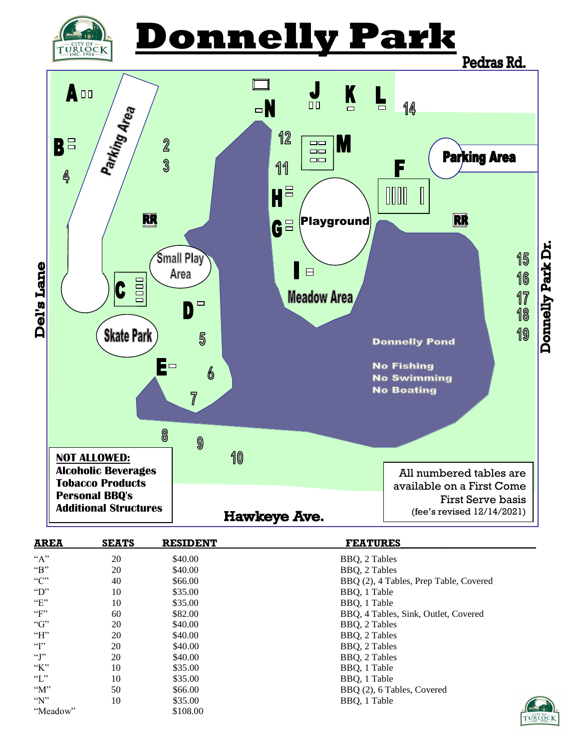

# **Donnelly Park**



| <b>AREA</b>     | <b>SEATS</b> | <b>RESIDENT</b> | <b>FEATURES</b>                        |
|-----------------|--------------|-----------------|----------------------------------------|
| $A$ "           | 20           | \$40.00         | BBQ, 2 Tables                          |
| $\mathbf{B}$    | 20           | \$40.00         | BBO, 2 Tables                          |
| C               | 40           | \$66.00         | BBQ (2), 4 Tables, Prep Table, Covered |
| $\mathcal{D}$   | 10           | \$35.00         | BBQ, 1 Table                           |
| E               | 10           | \$35.00         | BBO, 1 Table                           |
| $\mathbf{F}$    | 60           | \$82.00         | BBQ, 4 Tables, Sink, Outlet, Covered   |
| G               | 20           | \$40.00         | BBQ, 2 Tables                          |
| H               | 20           | \$40.00         | BBQ, 2 Tables                          |
| $\mathcal{C}$   | 20           | \$40.00         | BBQ, 2 Tables                          |
| $\cdot$ T       | 20           | \$40.00         | BBQ, 2 Tables                          |
| K               | 10           | \$35.00         | BBQ, 1 Table                           |
| $\mathcal{F}$ . | 10           | \$35.00         | BBO, 1 Table                           |
| M''             | 50           | \$66.00         | BBQ (2), 6 Tables, Covered             |
| $\gamma$        | 10           | \$35.00         | BBQ, 1 Table                           |
| "Meadow"        |              | \$108.00        | E                                      |